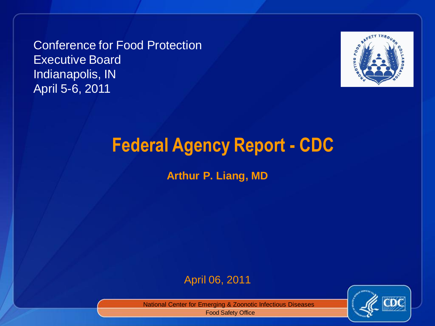Conference for Food Protection Executive Board Indianapolis, IN April 5-6, 2011



# **Federal Agency Report - CDC**

**Arthur P. Liang, MD**

#### April 06, 2011



National Center for Emerging & Zoonotic Infectious Diseases

Food Safety Office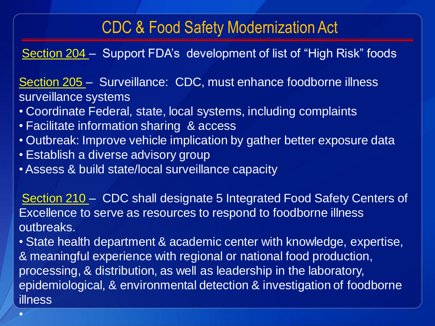## CDC & Food Safety Modernization Act

Section 204 – Support FDA's development of list of "High Risk" foods

Section 205 – Surveillance: CDC, must enhance foodborne illness surveillance systems

- Coordinate Federal, state, local systems, including complaints
- Facilitate information sharing & access
- Outbreak: Improve vehicle implication by gather better exposure data
- Establish a diverse advisory group

•

• Assess & build state/local surveillance capacity

Section 210 – CDC shall designate 5 Integrated Food Safety Centers of Excellence to serve as resources to respond to foodborne illness outbreaks.

• State health department & academic center with knowledge, expertise, & meaningful experience with regional or national food production, processing, & distribution, as well as leadership in the laboratory, epidemiological, & environmental detection & investigation of foodborne illness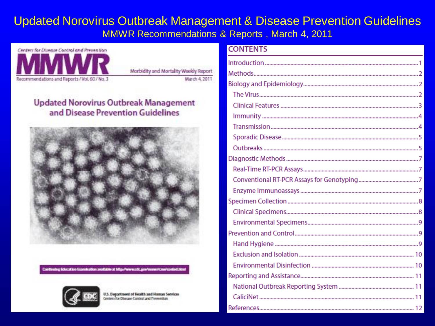#### Updated Norovirus Outbreak Management & Disease Prevention Guidelines MMWR Recommendations & Reports , March 4, 2011



Morbidity and Mortality Wookly Report March 4, 2011

#### **Updated Norovirus Outbreak Management** and Disease Prevention Guidelines





U.S. Department of Health and Human Services Centers for Disease Control and Prevention

#### **CONTENTS**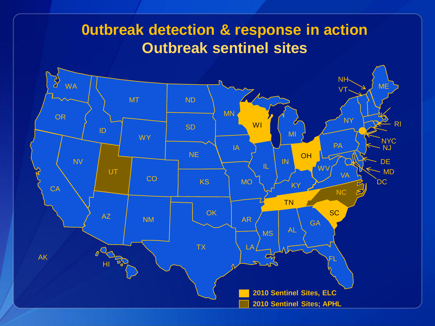### **0utbreak detection & response in action Outbreak sentinel sites**

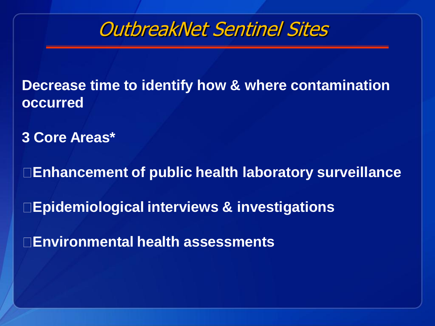

**Decrease time to identify how & where contamination occurred**

**3 Core Areas\***

**Enhancement of public health laboratory surveillance**

**Epidemiological interviews & investigations**

**Environmental health assessments**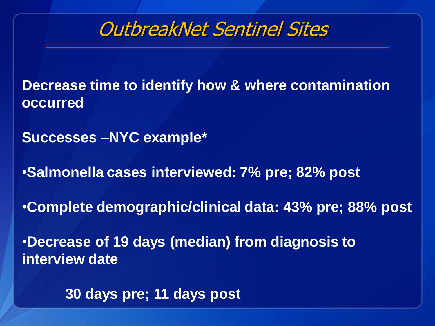

**Decrease time to identify how & where contamination occurred**

**Successes –NYC example\***

•**Salmonella cases interviewed: 7% pre; 82% post** 

•**Complete demographic/clinical data: 43% pre; 88% post**

•**Decrease of 19 days (median) from diagnosis to interview date**

**30 days pre; 11 days post**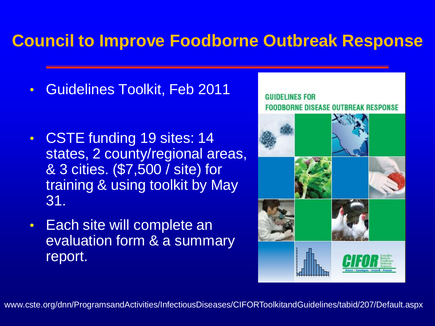## **Council to Improve Foodborne Outbreak Response**

- Guidelines Toolkit, Feb 2011
- CSTE funding 19 sites: 14 states, 2 county/regional areas, & 3 cities. (\$7,500 / site) for training & using toolkit by May 31.
- Each site will complete an evaluation form & a summary report.



www.cste.org/dnn/ProgramsandActivities/InfectiousDiseases/CIFORToolkitandGuidelines/tabid/207/Default.aspx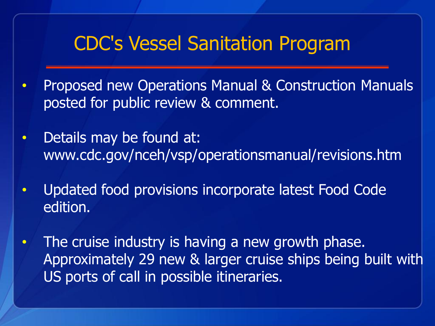# CDC's Vessel Sanitation Program

- Proposed new Operations Manual & Construction Manuals posted for public review & comment.
- Details may be found at: www.cdc.gov/nceh/vsp/operationsmanual/revisions.htm
- Updated food provisions incorporate latest Food Code edition.
- The cruise industry is having a new growth phase. Approximately 29 new & larger cruise ships being built with US ports of call in possible itineraries.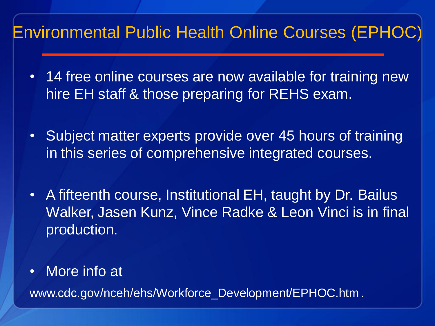## Environmental Public Health Online Courses (EPHOC)

- 14 free online courses are now available for training new hire EH staff & those preparing for REHS exam.
- Subject matter experts provide over 45 hours of training in this series of comprehensive integrated courses.
- A fifteenth course, Institutional EH, taught by Dr. Bailus Walker, Jasen Kunz, Vince Radke & Leon Vinci is in final production.
- More info at

www.cdc.gov/nceh/ehs/Workforce\_Development/EPHOC.htm .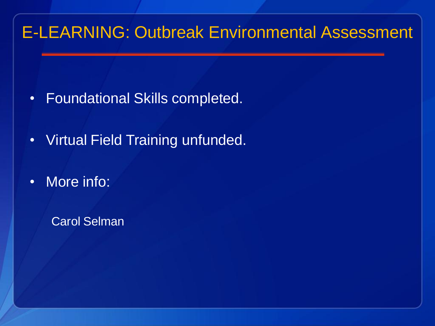## E-LEARNING: Outbreak Environmental Assessment

- Foundational Skills completed.
- Virtual Field Training unfunded.
- More info:

Carol Selman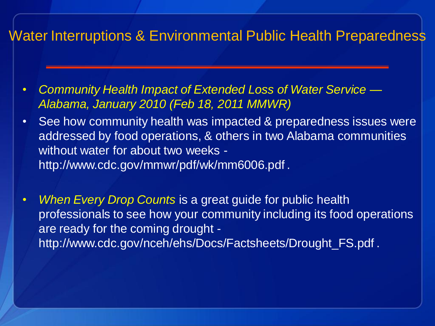#### Water Interruptions & Environmental Public Health Preparedness

- *Community Health Impact of Extended Loss of Water Service — Alabama, January 2010 (Feb 18, 2011 MMWR)*
- See how community health was impacted & preparedness issues were addressed by food operations, & others in two Alabama communities without water for about two weeks http://www.cdc.gov/mmwr/pdf/wk/mm6006.pdf .
- *When Every Drop Counts* is a great guide for public health professionals to see how your community including its food operations are ready for the coming drought http://www.cdc.gov/nceh/ehs/Docs/Factsheets/Drought\_FS.pdf .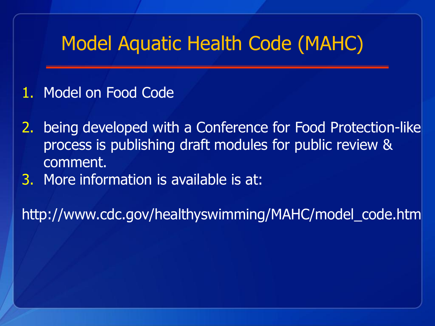# Model Aquatic Health Code (MAHC)

- 1. Model on Food Code
- 2. being developed with a Conference for Food Protection-like process is publishing draft modules for public review & comment.
- 3. More information is available is at:

http://www.cdc.gov/healthyswimming/MAHC/model\_code.htm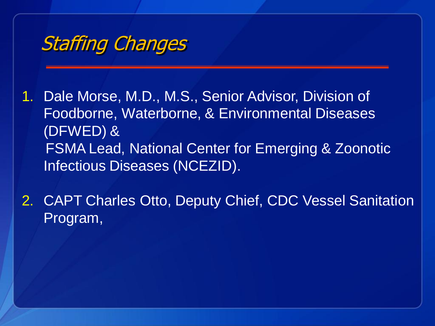

- 1. Dale Morse, M.D., M.S., Senior Advisor, Division of Foodborne, Waterborne, & Environmental Diseases (DFWED) & FSMA Lead, National Center for Emerging & Zoonotic Infectious Diseases (NCEZID).
- 2. CAPT Charles Otto, Deputy Chief, CDC Vessel Sanitation Program,